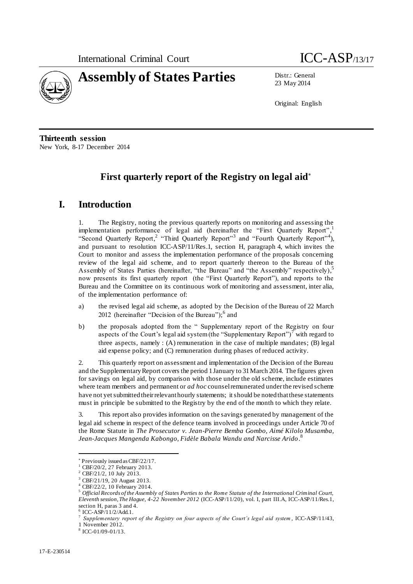



23 May 2014

Original: English

**Thirteenth session** New York, 8-17 December 2014

# **First quarterly report of the Registry on legal aid**

# **I. Introduction**

1. The Registry, noting the previous quarterly reports on monitoring and assessing the implementation performance of legal aid (hereinafter the "First Quarterly Report",<sup>1</sup> "Second Quarterly Report,<sup>2</sup> "Third Quarterly Report"<sup>3</sup> and "Fourth Quarterly Report"<sup>4</sup>), and pursuant to resolution ICC-ASP/11/Res.1, section H, paragraph 4, which invites the Court to monitor and assess the implementation performance of the proposals concerning review of the legal aid scheme, and to report quarterly thereon to the Bureau of the Assembly of States Parties (hereinafter, "the Bureau" and "the Assembly" respectively), 5 now presents its first quarterly report (the "First Quarterly Report"), and reports to the Bureau and the Committee on its continuous work of monitoring and assessment, inter alia, of the implementation performance of:

- a) the revised legal aid scheme, as adopted by the Decision of the Bureau of 22 March 2012 (hereinafter "Decision of the Bureau");<sup>6</sup> and
- b) the proposals adopted from the " Supplementary report of the Registry on four aspects of the Court's legal aid system (the "Supplementary Report") $\prime$  with regard to three aspects, namely  $: (A)$  remuneration in the case of multiple mandates;  $(B)$  legal aid expense policy; and (C) remuneration during phases of reduced activity.

2. This quarterly report on assessment and implementation of the Decision of the Bureau and the Supplementary Report covers the period 1 January to 31 March 2014. The figures given for savings on legal aid, by comparison with those under the old scheme, include estimates where team members and permanent or *ad hoc* counsel remunerated under the revised scheme have not yet submitted their relevant hourly statements; it should be noted that these statements must in principle be submitted to the Registry by the end of the month to which they relate.

3. This report also provides information on the savings generated by management of the legal aid scheme in respect of the defence teams involved in proceedings under Article 70 of the Rome Statute in *The Prosecutor v. Jean-Pierre Bemba Gombo, Aimé Kilolo Musamba, Jean-Jacques Mangenda Kabongo, Fidèle Babala Wandu and Narcisse Arido .* 8

Previously issued as CBF/22/17.

CBF/20/2, 27 February 2013.

<sup>2</sup> CBF/21/2, 10 July 2013.

<sup>3</sup> CBF/21/19, 20 August 2013.

CBF/22/2, 10 February 2014.

<sup>5</sup> *Official Records of the Assembly of States Parties to the Rome Statute of the International Criminal Court, Eleventh session, The Hague, 4-22 November 2012* (ICC-ASP/11/20), vol. I, part III.A, ICC-ASP/11/Res.1, section H, paras 3 and 4.

 $6$  ICC-ASP $/11/2$ /Add.1.

<sup>7</sup> *Supplementary report of the Registry on four aspects of the Court's legal aid system* , ICC-ASP/11/43,

<sup>1</sup> November 2012.

<sup>8</sup> ICC-01/09-01/13.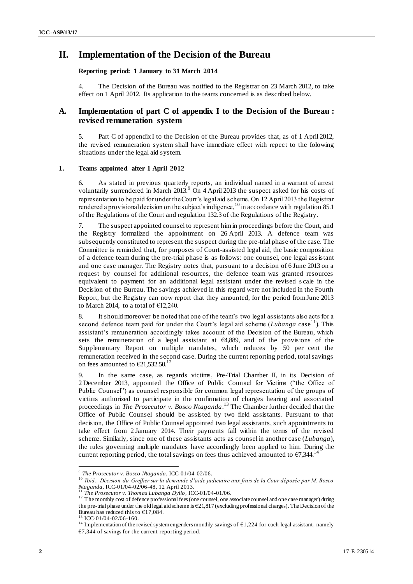## **II. Implementation of the Decision of the Bureau**

#### **Reporting period: 1 January to 31 March 2014**

4. The Decision of the Bureau was notified to the Registrar on 23 March 2012, to take effect on 1 April 2012. Its application to the teams concerned is as described below.

### **A. Implementation of part C of appendix I to the Decision of the Bureau : revised remuneration system**

5. Part C of appendix I to the Decision of the Bureau provides that, as of 1 April 2012, the revised remuneration system shall have immediate effect with repect to the folowing situations under the legal aid system.

#### **1. Teams appointed after 1 April 2012**

6. As stated in previous quarterly reports, an individual named in a warrant of arrest voluntarily surrendered in March 2013. $9$  On 4 April 2013 the suspect asked for his costs of representation to be paid for under the Court's legal aid scheme. On 12 April 2013 the Registrar rendered a provisional decision on the subject's indigence,<sup>10</sup> in accordance with regulation 85.1 of the Regulations of the Court and regulation 132.3 of the Regulations of the Registry.

7. The suspect appointed counsel to represent him in proceedings before the Court, and the Registry formalized the appointment on 26 April 2013. A defence team was subsequently constituted to represent the suspect during the pre-trial phase of the case. The Committee is reminded that, for purposes of Court-assisted legal aid, the basic composition of a defence team during the pre-trial phase is as follows: one counsel, one legal assistant and one case manager. The Registry notes that, pursuant to a decision of 6 June 2013 on a request by counsel for additional resources, the defence team was granted resources equivalent to payment for an additional legal assistant under the revised s cale in the Decision of the Bureau. The savings achieved in this regard were not included in the Fourth Report, but the Registry can now report that they amounted, for the period from June 2013 to March 2014, to a total of  $£12,240$ .

8. It should moreover be noted that one of the team's two legal assistants also acts for a second defence team paid for under the Court's legal aid scheme (*Lubanga* case<sup>11</sup>). This assistant's remuneration accordingly takes account of the Decision of the Bureau, which sets the remuneration of a legal assistant at  $64,889$ , and of the provisions of the Supplementary Report on multiple mandates, which reduces by 50 per cent the remuneration received in the second case. During the current reporting period, total savings on fees amounted to  $\epsilon$ 21,532.50.<sup>12</sup>

9. In the same case, as regards victims, Pre-Trial Chamber II, in its Decision of 2 December 2013, appointed the Office of Public Counsel for Victims ("the Office of Public Counsel") as counsel responsible for common legal representation of the groups of victims authorized to participate in the confirmation of charges hearing and associated proceedings in *The Prosecutor v. Bosco Ntaganda.* <sup>13</sup> The Chamber further decided that the Office of Public Counsel should be assisted by two field assistants. Pursuant to that decision, the Office of Public Counsel appointed two legal assistants, such appointments to take effect from 2 January 2014. Their payments fall within the terms of the revised scheme. Similarly, since one of these assistants acts as counsel in another case (*Lubanga*), the rules governing multiple mandates have accordingly been applied to him. During the current reporting period, the total savings on fees thus achieved amounted to  $\epsilon$ 7,344.<sup>14</sup>

 9 *The Prosecutor v. Bosco Ntaganda*, ICC-01/04-02/06.

<sup>10</sup> *Ibid.*, *Décision du Greffier sur la demande d'aide judiciaire aux frais de la Cour déposée par M. Bosco Ntaganda*, ICC-01/04-02/06-48, 12 April 2013.<br><sup>11</sup> The Processity T

<sup>11</sup> *The Prosecutor v. Thomas Lubanga Dyilo*, ICC-01/04-01/06.

<sup>&</sup>lt;sup>12</sup> The monthly cost of defence professional fees (one counsel, one associate counsel and one case manager) during the pre-trial phase under the old legal aid scheme is €21,817 (excluding professional charges). The Decision of the Bureau has reduced this to  $\epsilon$ 17,084.

ICC-01/04-02/06-160.

<sup>&</sup>lt;sup>14</sup> Implementation of the revised system engenders monthly savings of  $\epsilon$ 1,224 for each legal assistant, namely  $€7,344$  of savings for the current reporting period.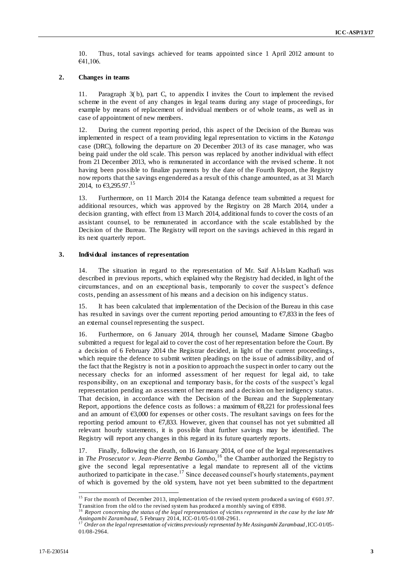10. Thus, total savings achieved for teams appointed since 1 April 2012 amount to €41,106.

#### **2. Changes in teams**

11. Paragraph 3( b), part C, to appendix I invites the Court to implement the revised scheme in the event of any changes in legal teams during any stage of proceedings, for example by means of replacement of indvidual members or of whole teams, as well as in case of appointment of new members.

12. During the current reporting period, this aspect of the Decision of the Bureau was implemented in respect of a team providing legal representation to victims in the *Katanga* case (DRC), following the departure on 20 December 2013 of its case manager, who was being paid under the old scale. This person was replaced by another individual with effect from 21 December 2013, who is remunerated in accordance with the revised scheme. It not having been possible to finalize payments by the date of the Fourth Report, the Registry now reports that the savings engendered as a result of this change amounted, as at 31 March 2014, to  $63,295.97$ <sup>15</sup>

13. Furthermore, on 11 March 2014 the Katanga defence team submitted a request for additional resources, which was approved by the Registry on 28 March 2014, under a decision granting, with effect from 13 March 2014, additional funds to cover the costs of an assistant counsel, to be remunerated in accordance with the scale established by the Decision of the Bureau. The Registry will report on the savings achieved in this regard in its next quarterly report.

#### **3. Individual instances of representation**

14. The situation in regard to the representation of Mr. Saif Al-Islam Kadhafi was described in previous reports, which explained why the Registry had decided, in light of the circumstances, and on an exceptional basis, temporarily to cover the suspect's defence costs, pending an assessment of his means and a decision on his indigency status.

15. It has been calculated that implementation of the Decision of the Bureau in this case has resulted in savings over the current reporting period amounting to €7,833 in the fees of an external counsel representing the suspect.

16. Furthermore, on 6 January 2014, through her counsel, Madame Simone Gbagbo submitted a request for legal aid to cover the cost of her representation before the Court. By a decision of 6 February 2014 the Registrar decided, in light of the current proceeding s, which require the defence to submit written pleadings on the issue of admissibility, and of the fact that the Registry is not in a position to approach the suspect in order to carry out the necessary checks for an informed assessment of her request for legal aid, to take responsibility, on an exceptional and temporary basis, for the costs of the suspect's legal representation pending an assessment of her means and a decision on her indigency status. That decision, in accordance with the Decision of the Bureau and the Supplementary Report, apportions the defence costs as follows: a maximum of  $68,221$  for professional fees and an amount of €3,000 for expenses or other costs. The resultant savings on fees for the reporting period amount to  $\epsilon$ 7,833. However, given that counsel has not yet submitted all relevant hourly statements, it is possible that further savings may be identified. The Registry will report any changes in this regard in its future quarterly reports.

17. Finally, following the death, on 16 January 2014, of one of the legal representatives in *The Prosecutor v. Jean-Pierre Bemba Gombo,*<sup>16</sup> the Chamber authorized the Registry to give the second legal representative a legal mandate to represent all of the victims authorized to participate in the case.<sup>17</sup> Since deceased counsel's hourly statements, payment of which is governed by the old system, have not yet been submitted to the department

<sup>&</sup>lt;sup>15</sup> For the month of December 2013, implementation of the revised system produced a saving of  $\epsilon$ 601.97. Transition from the old to the revised system has produced a monthly saving of €898. <sup>16</sup> *Report concerning the status of the legal representation of victims represented in the case by the late Mr* 

*Assingambi Zarambaud*, 5 February 2014, ICC-01/05-01/08-2961.<br><sup>17</sup> Order on the lagel way are the continuous control of the control of the continuous control of the control of

<sup>17</sup> *Order on the legal representation of victims previously represented by Me Assingambi Zarambaud*, ICC-01/05- 01/08-2964.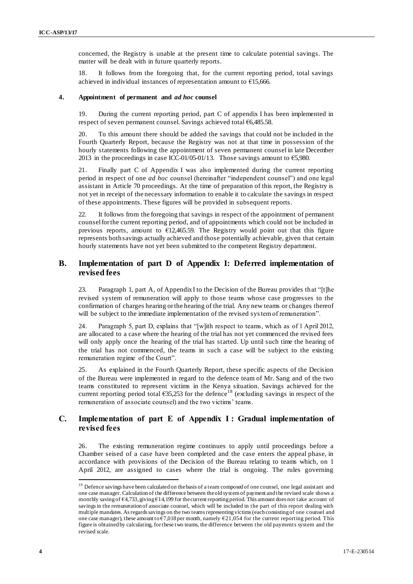concerned, the Registry is unable at the present time to calculate potential savings. The matter will be dealt with in future quarterly reports.

18. It follows from the foregoing that, for the current reporting period, total savings achieved in individual instances of representation amount to €15,666.

#### **4. Appointment of permanent and** *ad hoc* **counsel**

19. During the current reporting period, part C of appendix I has been implemented in respect of seven permanent counsel. Savings achieved total €6,485.58.

20. To this amount there should be added the savings that could not be included in the Fourth Quarterly Report, because the Registry was not at that time in possession of the hourly statements following the appointment of seven permanent counsel in late December 2013 in the proceedings in case ICC-01/05-01/13. Those savings amount to  $\epsilon$ 5,980.

21. Finally part C of Appendix I was also implemented during the current reporting period in respect of one *ad hoc* counsel (hereinafter "independent counsel") and one legal assistant in Article 70 proceedings. At the time of preparation of this report, the Registry is not yet in receipt of the necessary information to enable it to calculate the savings in respect of these appointments. These figures will be provided in subsequent reports.

22. It follows from the foregoing that savings in respect of the appointment of permanent counsel for the current reporting period, and of appointments which could not be included in previous reports, amount to €12,465.59. The Registry would point out that this figure represents both savings actually achieved and those potentially achievable, given that certain hourly statements have not yet been submitted to the competent Registry department.

### **B. Implementation of part D of Appendix I: Deferred implementation of revised fees**

23. Paragraph 1, part A, of Appendix I to the Decision of the Bureau provides that "[t]he revised system of remuneration will apply to those teams whose case progresses to the confirmation of charges hearing or the hearing of the trial. Any new teams or changes thereof will be subject to the immediate implementation of the revised system of remuneration".

24. Paragraph 5, part D, explains that "[w]ith respect to teams, which as of 1 April 2012, are allocated to a case where the hearing of the trial has not yet commenced the revised fees will only apply once the hearing of the trial has started. Up until such time the hearing of the trial has not commenced, the teams in such a case will be subject to the existing remuneration regime of the Court".

25. As explained in the Fourth Quarterly Report, these specific aspects of the Decision of the Bureau were implemented in regard to the defence team of Mr. Sang and of the two teams constituted to represent victims in the Kenya situation. Savings achieved for the current reporting period total  $635,253$  for the defence<sup>18</sup> (excluding savings in respect of the remuneration of associate counsel) and the two victims' teams.

### **C. Implementation of part E of Appendix I : Gradual implementation of revised fees**

26. The existing remuneration regime continues to apply until proceedings before a Chamber seised of a case have been completed and the case enters the appeal phase, in accordance with provisions of the Decision of the Bureau relating to teams which, on 1 April 2012, are assigned to cases where the trial is ongoing. The rules governing

<sup>&</sup>lt;sup>18</sup> Defence savings have been calculated on the basis of a team composed of one counsel, one legal assistant and one case manager. Calculation of the difference between the old system of payment and the revised scale shows a monthly saving of  $\epsilon$ 4,733, giving  $\epsilon$ 14,199 for the current reporting period. This amount does not take account of savings in the remuneration of associate counsel, which will be included in the part of this report dealing with multiple mandates. As regards savings on the two teams representing victims (each consisting of one counsel and one case manager), these amount to  $\epsilon$ 7,018 per month, namely  $\epsilon$ 21,054 for the current reporting period. This figure is obtained by calculating, for these two teams, the difference between the old payments system and the revised scale.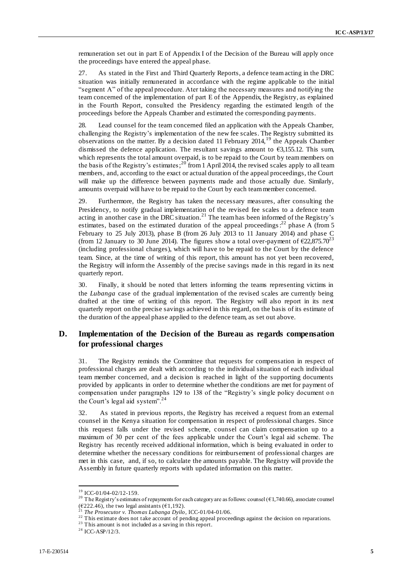remuneration set out in part E of Appendix I of the Decision of the Bureau will apply once the proceedings have entered the appeal phase.

27. As stated in the First and Third Quarterly Reports, a defence team acting in the DRC situation was initially remunerated in accordance with the regime applicable to the initial "segment A" of the appeal procedure. Ater taking the necessary measures and notifying the team concerned of the implementation of part E of the Appendix, the Registry, as explained in the Fourth Report, consulted the Presidency regarding the estimated length of the proceedings before the Appeals Chamber and estimated the corresponding payments.

28. Lead counsel for the team concerned filed an application with the Appeals Chamber, challenging the Registry's implementation of the new fee scales. The Registry submitted its observations on the matter. By a decision dated 11 February 2014,<sup>19</sup> the Appeals Chamber dismissed the defence application. The resultant savings amount to  $\epsilon$ 3,155.12. This sum, which represents the total amount overpaid, is to be repaid to the Court by team members on the basis of the Registry's estimates;<sup>20</sup> from 1 April 2014, the revised scales apply to all team members, and, according to the exact or actual duration of the appeal proceedings, the Court will make up the difference between payments made and those actually due. Similarly, amounts overpaid will have to be repaid to the Court by each team member concerned.

29. Furthermore, the Registry has taken the necessary measures, after consulting the Presidency, to notify gradual implementation of the revised fee scales to a defence team acting in another case in the DRC situation.<sup>21</sup> The team has been informed of the Registry's estimates, based on the estimated duration of the appeal proceedings:<sup>22</sup> phase A (from 5 February to 25 July 2013), phase B (from 26 July 2013 to 11 January 2014) and phase C (from 12 January to 30 June 2014). The figures show a total over-payment of  $\epsilon$ 22,875.70<sup>23</sup> (including professional charges), which will have to be repaid to the Court by the defence team. Since, at the time of writing of this report, this amount has not yet been recovered, the Registry will inform the Assembly of the precise savings made in this regard in its next quarterly report.

30. Finally, it should be noted that letters informing the teams representing victims in the *Lubanga* case of the gradual implementation of the revised scales are currently being drafted at the time of writing of this report. The Registry will also report in its next quarterly report on the precise savings achieved in this regard, on the basis of its estimate of the duration of the appeal phase applied to the defence team, as set out above.

### **D. Implementation of the Decision of the Bureau as regards compensation for professional charges**

31. The Registry reminds the Committee that requests for compensation in respect of professional charges are dealt with according to the individual situation of each individual team member concerned, and a decision is reached in light of the supporting documents provided by applicants in order to determine whether the conditions are met for payment of compensation under paragraphs 129 to 138 of the "Registry's single policy document o n the Court's legal aid system".<sup>24</sup>

32. As stated in previous reports, the Registry has received a request from an external counsel in the Kenya situation for compensation in respect of professional charges. Since this request falls under the revised scheme, counsel can claim compensation up to a maximum of 30 per cent of the fees applicable under the Court's legal aid scheme. The Registry has recently received additional information, which is being evaluated in order to determine whether the necessary conditions for reimbursement of professional charges are met in this case, and, if so, to calculate the amounts payable. The Registry will provide the Assembly in future quarterly reports with updated information on this matter.

<sup>&</sup>lt;sup>19</sup> ICC-01/04-02/12-159.

<sup>&</sup>lt;sup>20</sup> The Registry's estimates of repayments for each category are as follows: counsel ( $\epsilon$ 1,740.66), associate counsel (€222.46), the two legal assistants (€1,192). <sup>21</sup> *The Prosecutor v. Thomas Lubanga Dyilo*, ICC-01/04-01/06.

<sup>&</sup>lt;sup>22</sup> This estimate does not take account of pending appeal proceedings against the decision on reparations.

<sup>&</sup>lt;sup>23</sup> This amount is not included as a saving in this report.

<sup>24</sup> ICC-ASP/12/3.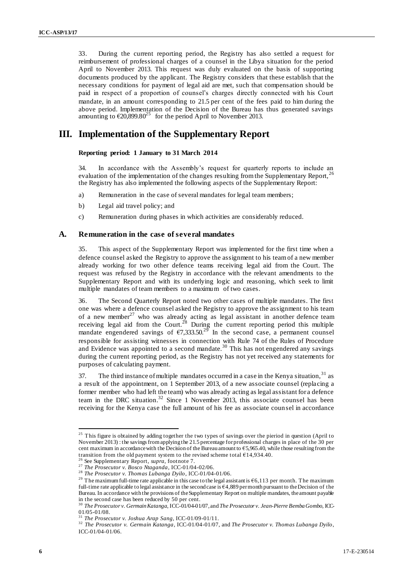33. During the current reporting period, the Registry has also settled a request for reimbursement of professional charges of a counsel in the Libya situation for the period April to November 2013. This request was duly evaluated on the basis of supporting documents produced by the applicant. The Registry considers that these establish that the necessary conditions for payment of legal aid are met, such that compensation should be paid in respect of a proportion of counsel's charges directly connected with his Court mandate, in an amount corresponding to 21.5 per cent of the fees paid to him during the above period. Implementation of the Decision of the Bureau has thus generated savings amounting to  $\epsilon$ 20,899.80<sup>25</sup> for the period April to November 2013.

## **III. Implementation of the Supplementary Report**

### **Reporting period: 1 January to 31 March 2014**

34. In accordance with the Assembly's request for quarterly reports to include an evaluation of the implementation of the changes resulting from the Supplementary Report,<sup>2</sup> the Registry has also implemented the following aspects of the Supplementary Report:

- a) Remuneration in the case of several mandates for legal team members;
- b) Legal aid travel policy; and
- c) Remuneration during phases in which activities are considerably reduced.

### **A. Remuneration in the case of several mandates**

35. This aspect of the Supplementary Report was implemented for the first time when a defence counsel asked the Registry to approve the assignment to his team of a new member already working for two other defence teams receiving legal aid from the Court. The request was refused by the Registry in accordance with the relevant amendments to the Supplementary Report and with its underlying logic and reasoning, which seek to limit multiple mandates of team members to a maximum of two cases.

36. The Second Quarterly Report noted two other cases of multiple mandates. The first one was where a defence counsel asked the Registry to approve the assignment to his team of a new member<sup>27</sup> who was already acting as legal assistant in another defence team receiving legal aid from the Court.<sup>28</sup> During the current reporting period this multiple mandate engendered savings of  $\epsilon$ 7,333.50.<sup>29</sup> In the second case, a permanent counsel responsible for assisting witnesses in connection with Rule 74 of the Rules of Procedure and Evidence was appointed to a second mandate.<sup>30</sup> This has not engendered any savings during the current reporting period, as the Registry has not yet received any statements for purposes of calculating payment.

37. The third instance of multiple mandates occurred in a case in the Kenya situation,  $31$  as a result of the appointment, on 1 September 2013, of a new associate counsel (replacing a former member who had left the team) who was already acting as legal assistant for a defence team in the DRC situation.<sup>32</sup> Since 1 November 2013, this associate counsel has been receiving for the Kenya case the full amount of his fee as associate counsel in accordance

 $25$  This figure is obtained by adding together the two types of savings over the pieriod in question (April to November 2013) : the savings from applying the 21.5 percentage for professional charges in place of the 30 per cent maximum in accordance with the Decision of the Bureau amount to  $65,965.40$ , while those resulting from the transition from the old payment system to the revised scheme total  $£14,934.40$ .

<sup>&</sup>lt;sup>5</sup> See Supplementary Report, *supra*, footnote 7.

<sup>&</sup>lt;sup>27</sup> *The Prosecutor v. Bosco Ntaganda*, ICC-01/04-02/06.

<sup>28</sup> *The Prosecutor v. Thomas Lubanga Dyilo*, ICC-01/04-01/06.

<sup>&</sup>lt;sup>29</sup> The maximum full-time rate applicable in this case to the legal assistant is  $66,113$  per month. The maximum full-time rate applicable to legal assistance in the second case is  $64,889$  per month pursuant to the Decision of the Bureau. In accordance with the provisions of the Supplementary Report on multiple mandates, the amount payable in the second case has been reduced by 50 per cent.

<sup>30</sup> *The Prosecutor v. Germain Katanga*, ICC-01/04-01/07, and *The Prosecutor v. Jean-Pierre Bemba Gombo*, ICC-01/05-01/08.

<sup>31</sup> *The Prosecutor v. Joshua Arap Sang*, ICC-01/09-01/11.

<sup>32</sup> *The Prosecutor v. Germain Katanga*, ICC-01/04-01/07, and *The Prosecutor v. Thomas Lubanga Dyilo*, ICC-01/04-01/06.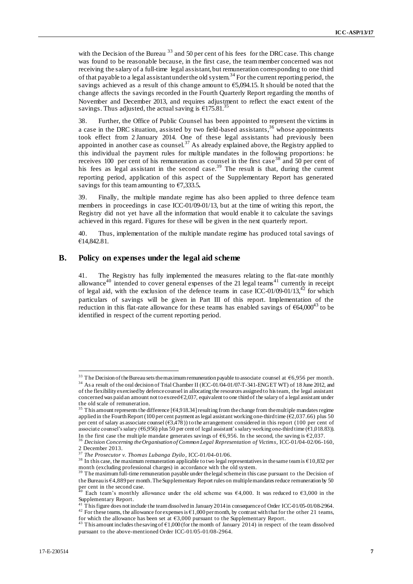with the Decision of the Bureau  $33$  and 50 per cent of his fees for the DRC case. This change was found to be reasonable because, in the first case, the team member concerned was not receiving the salary of a full-time legal assistant, but remuneration corresponding to one third of that payable to a legal assistant under the old system.<sup>34</sup> For the current reporting period, the savings achieved as a result of this change amount to €5,094.15. It should be noted that the change affects the savings recorded in the Fourth Quarterly Report regarding the months of November and December 2013, and requires adjustment to reflect the exact extent of the savings. Thus adjusted, the actual saving is  $\epsilon$ 175.81.<sup>35</sup>

38. Further, the Office of Public Counsel has been appointed to represent the victims in a case in the DRC situation, assisted by two field-based assistants,<sup>36</sup> whose appointments took effect from 2 January 2014. One of these legal assistants had previously been appointed in another case as counsel.<sup>37</sup> As already explained above, the Registry applied to this individual the payment rules for multiple mandates in the following proportions: he receives 100 per cent of his remuneration as counsel in the first case<sup>38</sup> and 50 per cent of his fees as legal assistant in the second case.<sup>39</sup> The result is that, during the current reporting period, application of this aspect of the Supplementary Report has generated savings for this team amounting to €7,333.5**.**

39. Finally, the multiple mandate regime has also been applied to three defence team members in proceedings in case ICC-01/09-01/13, but at the time of writing this report, the Registry did not yet have all the information that would enable it to calculate the savings achieved in this regard. Figures for these will be given in the next quarterly report.

40. Thus, implementation of the multiple mandate regime has produced total savings of €14,842.81.

### **B. Policy on expenses under the legal aid scheme**

41. The Registry has fully implemented the measures relating to the flat-rate monthly allowance<sup>40</sup> intended to cover general expenses of the 21 legal teams<sup>41</sup> currently in receipt of legal aid, with the exclusion of the defence teams in case ICC-01/09-01/13,<sup>42</sup> for which particulars of savings will be given in Part III of this report. Implementation of the reduction in this flat-rate allowance for these teams has enabled savings of  $664,000^{43}$  to be identified in respect of the current reporting period.

<sup>&</sup>lt;sup>33</sup> The Decision of the Bureau sets the maximum remuneration payable to associate counsel at  $\epsilon$ 6,956 per month. <sup>34</sup> As a result of the oral decision of Trial Chamber II (ICC-01/04-01/07-T-341-ENGET WT) of 18 June 2012, and

of the flexibility exercised by defence counsel in allocating the resources assigned to his team, the legal assistant concerned was paid an amount not to exceed  $\epsilon$ 2,037, equivalent to one third of the salary of a legal assistant under the old scale of remuneration.

<sup>&</sup>lt;sup>35</sup> This amount represents the difference [ $\epsilon$ 4,918.34] resulting from the change from the multiple mandates regime applied in the Fourth Report (100 per cent payment as legal assistant working one-third time ( $\epsilon$ 2,037.66) plus 50 per cent of salary as associate counsel ( $\epsilon$ 3,478)) to the arrangement considered in this report (100 per cent of associate counsel's salary (€6,956) plus 50 per cent of legal assistant's salary working one-third time (€1,018.83)). In the first case the multiple mandate generates savings of  $66,956$ . In the second, the saving is  $62,037$ .

<sup>36</sup> *Decision Concerning the Organisation of Common Legal Representation of Victims*, ICC-01/04-02/06-160, 2 December 2013.

<sup>37</sup> *The Prosecutor v. Thomas Lubanga Dyilo*, ICC-01/04-01/06.

<sup>&</sup>lt;sup>38</sup> In this case, the maximum remuneration applicable to two legal representatives in the same team is  $\epsilon$ 10,832 per month (excluding professional charges) in accordance with the old system.<br><sup>39</sup> The maximum full-time remuneration payable under the legal scheme in this case pursuant to the Decision of

the Bureau is €4,889 per month. The Supplementary Report rules on multiple mandates reduce remuneration by 50 per cent in the second case.

Each team's monthly allowance under the old scheme was  $€4,000$ . It was reduced to  $€3,000$  in the Supplementary Report.

<sup>41</sup> This figure does not include the team dissolved in January 2014 in consequence of Order ICC-01/05-01/08-2964. <sup>42</sup> For these teams, the allowance for expenses is  $\epsilon$ 1,000 per month, by contrast with that for the other 21 teams, for which the allowance has been set at €3,000 pursuant to the Supplementary Report.

This amount includes the saving of  $\epsilon$ 1,000 (for the month of January 2014) in respect of the team dissolved pursuant to the above-mentioned Order ICC-01/05-01/08-2964.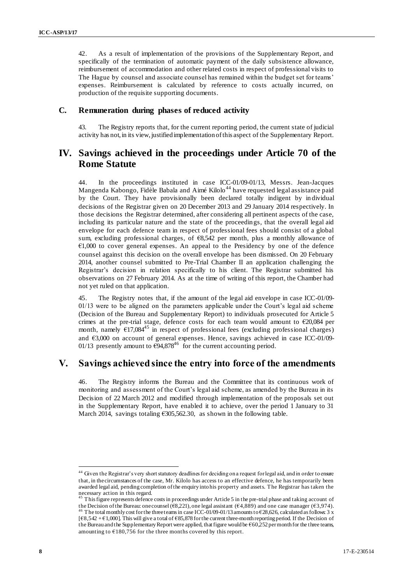42. As a result of implementation of the provisions of the Supplementary Report, and specifically of the termination of automatic payment of the daily subsistence allowance, reimbursement of accommodation and other related costs in respect of professional visits to The Hague by counsel and associate counsel has remained within the budget set for teams' expenses. Reimbursement is calculated by reference to costs actually incurred, on production of the requisite supporting documents.

### **C. Remuneration during phases of reduced activity**

43. The Registry reports that, for the current reporting period, the current state of judicial activity has not, in its view, justified implementation of this aspect of the Supplementary Report.

# **IV. Savings achieved in the proceedings under Article 70 of the Rome Statute**

44. In the proceedings instituted in case ICC-01/09-01/13, Messrs. Jean-Jacques Mangenda Kabongo, Fidèle Babala and Aimé Kilolo<sup>44</sup> have requested legal assistance paid by the Court. They have provisionally been declared totally indigent by in dividual decisions of the Registrar given on 20 December 2013 and 29 January 2014 respectively. In those decisions the Registrar determined, after considering all pertinent aspects of the case, including its particular nature and the state of the proceedings, that the overall legal aid envelope for each defence team in respect of professional fees should consist of a global sum, excluding professional charges, of €8,542 per month, plus a monthly allowance of €1,000 to cover general expenses. An appeal to the Presidency by one of the defence counsel against this decision on the overall envelope has been dismissed. On 20 February 2014, another counsel submitted to Pre-Trial Chamber II an application challenging the Registrar's decision in relation specifically to his client. The Registrar submitted his observations on 27 February 2014. As at the time of writing of this report, the Chamber had not yet ruled on that application.

45. The Registry notes that, if the amount of the legal aid envelope in case ICC-01/09- 01/13 were to be aligned on the parameters applicable under the Court's legal aid scheme (Decision of the Bureau and Supplementary Report) to individuals prosecuted for Article 5 crimes at the pre-trial stage, defence costs for each team would amount to €20,084 per month, namely  $617,084^{45}$  in respect of professional fees (excluding professional charges) and €3,000 on account of general expenses. Hence, savings achieved in case ICC-01/09- 01/13 presently amount to  $\overline{694,878}^{46}$  for the current accounting period.

## **V. Savings achieved since the entry into force of the amendments**

46. The Registry informs the Bureau and the Committee that its continuous work of monitoring and assessment of the Court's legal aid scheme, as amended by the Bureau in its Decision of 22 March 2012 and modified through implementation of the proposals set out in the Supplementary Report, have enabled it to achieve, over the period 1 January to 31 March 2014, savings totaling €305,562.30, as shown in the following table.

<sup>&</sup>lt;sup>44</sup> Given the Registrar's very short statutory deadlines for deciding on a request for legal aid, and in order to ensure that, in the circumstances of the case, Mr. Kilolo has access to an effective defence, he has temporarily been awarded legal aid, pending completion of the enquiry into his property and assets. The Registrar has taken the necessary action in this regard.

<sup>45</sup> This figure represents defence costs in proceedings under Article 5 in the pre-trial phase and taking account of the Decision of the Bureau: one counsel ( $\epsilon$ 8,221), one legal assistant ( $\epsilon$ 4,889) and one case manager ( $\epsilon$ 3,974). <sup>46</sup> The total monthly cost for the three teams in case ICC-01/09-01/13 amounts to  $\epsilon$ 28,626, calculated as follows: 3 x [€8,542 + €1,000]. This will give a total of €85,878 for the current three-month reporting period. If the Decision of the Bureau and the Supplementary Report were applied, that figure would be  $\epsilon$ 60,252 per month for the three teams, amounting to  $\epsilon$ 180,756 for the three months covered by this report.